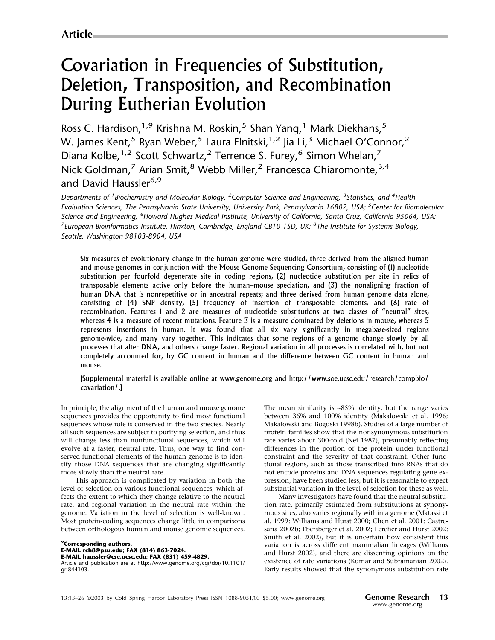# Covariation in Frequencies of Substitution, Deletion, Transposition, and Recombination During Eutherian Evolution

Ross C. Hardison,<sup>1,9</sup> Krishna M. Roskin,<sup>5</sup> Shan Yang,<sup>1</sup> Mark Diekhans,<sup>5</sup> W. James Kent,<sup>5</sup> Ryan Weber,<sup>5</sup> Laura Elnitski,<sup>1,2</sup> Jia Li,<sup>3</sup> Michael O'Connor,<sup>2</sup> Diana Kolbe,<sup>1,2</sup> Scott Schwartz,<sup>2</sup> Terrence S. Furey,<sup>6</sup> Simon Whelan,<sup>7</sup> Nick Goldman,<sup>7</sup> Arian Smit,<sup>8</sup> Webb Miller,<sup>2</sup> Francesca Chiaromonte,<sup>3,4</sup> and David Haussler<sup>6,9</sup>

Departments of <sup>1</sup> Biochemistry and Molecular Biology, <sup>2</sup> Computer Science and Engineering, <sup>3</sup> Statistics, and <sup>4</sup> Health Evaluation Sciences, The Pennsylvania State University, University Park, Pennsylvania 16802, USA; <sup>5</sup>Center for Biomolecular Science and Engineering, <sup>6</sup>Howard Hughes Medical Institute, University of California, Santa Cruz, California 95064, USA; <sup>7</sup> European Bioinformatics Institute, Hinxton, Cambridge, England CB10 1SD, UK; <sup>8</sup>The Institute for Systems Biology, Seattle, Washington 98103-8904, USA

Six measures of evolutionary change in the human genome were studied, three derived from the aligned human and mouse genomes in conjunction with the Mouse Genome Sequencing Consortium, consisting of (1) nucleotide substitution per fourfold degenerate site in coding regions, (2) nucleotide substitution per site in relics of transposable elements active only before the human–mouse speciation, and (3) the nonaligning fraction of human DNA that is nonrepetitive or in ancestral repeats; and three derived from human genome data alone, consisting of (4) SNP density, (5) frequency of insertion of transposable elements, and (6) rate of recombination. Features 1 and 2 are measures of nucleotide substitutions at two classes of "neutral" sites, whereas 4 is a measure of recent mutations. Feature 3 is a measure dominated by deletions in mouse, whereas 5 represents insertions in human. It was found that all six vary significantly in megabase-sized regions genome-wide, and many vary together. This indicates that some regions of a genome change slowly by all processes that alter DNA, and others change faster. Regional variation in all processes is correlated with, but not completely accounted for, by GC content in human and the difference between GC content in human and mouse.

## [Supplemental material is available online at www.genome.org and http://www.soe.ucsc.edu/research/compbio/ covariation/.]

In principle, the alignment of the human and mouse genome sequences provides the opportunity to find most functional sequences whose role is conserved in the two species. Nearly all such sequences are subject to purifying selection, and thus will change less than nonfunctional sequences, which will evolve at a faster, neutral rate. Thus, one way to find conserved functional elements of the human genome is to identify those DNA sequences that are changing significantly more slowly than the neutral rate.

This approach is complicated by variation in both the level of selection on various functional sequences, which affects the extent to which they change relative to the neutral rate, and regional variation in the neutral rate within the genome. Variation in the level of selection is well-known. Most protein-coding sequences change little in comparisons between orthologous human and mouse genomic sequences.

<sup>9</sup>Corresponding authors. E-MAIL rch8@psu.edu; FAX (814) 863-7024. E-MAIL haussler@cse.ucsc.edu; FAX (831)459-4829. Article and publication are at http://www.genome.org/cgi/doi/10.1101/ gr.844103.

The mean similarity is ∼85% identity, but the range varies between 36% and 100% identity (Makalowski et al. 1996; Makalowski and Boguski 1998b). Studies of a large number of protein families show that the nonsynonymous substitution rate varies about 300-fold (Nei 1987), presumably reflecting differences in the portion of the protein under functional constraint and the severity of that constraint. Other functional regions, such as those transcribed into RNAs that do not encode proteins and DNA sequences regulating gene expression, have been studied less, but it is reasonable to expect substantial variation in the level of selection for these as well.

Many investigators have found that the neutral substitution rate, primarily estimated from substitutions at synonymous sites, also varies regionally within a genome (Matassi et al. 1999; Williams and Hurst 2000; Chen et al. 2001; Castresana 2002b; Ebersberger et al. 2002; Lercher and Hurst 2002; Smith et al. 2002), but it is uncertain how consistent this variation is across different mammalian lineages (Williams and Hurst 2002), and there are dissenting opinions on the existence of rate variations (Kumar and Subramanian 2002). Early results showed that the synonymous substitution rate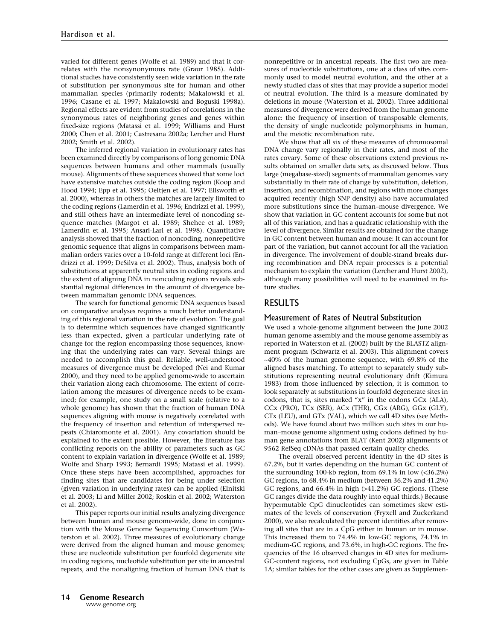varied for different genes (Wolfe et al. 1989) and that it correlates with the nonsynonymous rate (Graur 1985). Additional studies have consistently seen wide variation in the rate of substitution per synonymous site for human and other mammalian species (primarily rodents; Makalowski et al. 1996; Casane et al. 1997; Makalowski and Boguski 1998a). Regional effects are evident from studies of correlations in the synonymous rates of neighboring genes and genes within fixed-size regions (Matassi et al. 1999; Williams and Hurst 2000; Chen et al. 2001; Castresana 2002a; Lercher and Hurst 2002; Smith et al. 2002).

The inferred regional variation in evolutionary rates has been examined directly by comparisons of long genomic DNA sequences between humans and other mammals (usually mouse). Alignments of these sequences showed that some loci have extensive matches outside the coding region (Koop and Hood 1994; Epp et al. 1995; Oeltjen et al. 1997; Ellsworth et al. 2000), whereas in others the matches are largely limited to the coding regions (Lamerdin et al. 1996; Endrizzi et al. 1999), and still others have an intermediate level of noncoding sequence matches (Margot et al. 1989; Shehee et al. 1989; Lamerdin et al. 1995; Ansari-Lari et al. 1998). Quantitative analysis showed that the fraction of noncoding, nonrepetitive genomic sequence that aligns in comparisons between mammalian orders varies over a 10-fold range at different loci (Endrizzi et al. 1999; DeSilva et al. 2002). Thus, analysis both of substitutions at apparently neutral sites in coding regions and the extent of aligning DNA in noncoding regions reveals substantial regional differences in the amount of divergence between mammalian genomic DNA sequences.

The search for functional genomic DNA sequences based on comparative analyses requires a much better understanding of this regional variation in the rate of evolution. The goal is to determine which sequences have changed significantly less than expected, given a particular underlying rate of change for the region encompassing those sequences, knowing that the underlying rates can vary. Several things are needed to accomplish this goal. Reliable, well-understood measures of divergence must be developed (Nei and Kumar 2000), and they need to be applied genome-wide to ascertain their variation along each chromosome. The extent of correlation among the measures of divergence needs to be examined; for example, one study on a small scale (relative to a whole genome) has shown that the fraction of human DNA sequences aligning with mouse is negatively correlated with the frequency of insertion and retention of interspersed repeats (Chiaromonte et al. 2001). Any covariation should be explained to the extent possible. However, the literature has conflicting reports on the ability of parameters such as GC content to explain variation in divergence (Wolfe et al. 1989; Wolfe and Sharp 1993; Bernardi 1995; Matassi et al. 1999). Once these steps have been accomplished, approaches for finding sites that are candidates for being under selection (given variation in underlying rates) can be applied (Elnitski et al. 2003; Li and Miller 2002; Roskin et al. 2002; Waterston et al. 2002).

This paper reports our initial results analyzing divergence between human and mouse genome-wide, done in conjunction with the Mouse Genome Sequencing Consortium (Waterston et al. 2002). Three measures of evolutionary change were derived from the aligned human and mouse genomes; these are nucleotide substitution per fourfold degenerate site in coding regions, nucleotide substitution per site in ancestral repeats, and the nonaligning fraction of human DNA that is nonrepetitive or in ancestral repeats. The first two are measures of nucleotide substitutions, one at a class of sites commonly used to model neutral evolution, and the other at a newly studied class of sites that may provide a superior model of neutral evolution. The third is a measure dominated by deletions in mouse (Waterston et al. 2002). Three additional measures of divergence were derived from the human genome alone: the frequency of insertion of transposable elements, the density of single nucleotide polymorphisms in human, and the meiotic recombination rate.

We show that all six of these measures of chromosomal DNA change vary regionally in their rates, and most of the rates covary. Some of these observations extend previous results obtained on smaller data sets, as discussed below. Thus large (megabase-sized) segments of mammalian genomes vary substantially in their rate of change by substitution, deletion, insertion, and recombination, and regions with more changes acquired recently (high SNP density) also have accumulated more substitutions since the human–mouse divergence. We show that variation in GC content accounts for some but not all of this variation, and has a quadratic relationship with the level of divergence. Similar results are obtained for the change in GC content between human and mouse: It can account for part of the variation, but cannot account for all the variation in divergence. The involvement of double-strand breaks during recombination and DNA repair processes is a potential mechanism to explain the variation (Lercher and Hurst 2002), although many possibilities will need to be examined in future studies.

# **RESULTS**

#### Measurement of Rates of Neutral Substitution

We used a whole-genome alignment between the June 2002 human genome assembly and the mouse genome assembly as reported in Waterston et al. (2002) built by the BLASTZ alignment program (Schwartz et al. 2003). This alignment covers ∼40% of the human genome sequence, with 69.8% of the aligned bases matching. To attempt to separately study substitutions representing neutral evolutionary drift (Kimura 1983) from those influenced by selection, it is common to look separately at substitutions in fourfold degenerate sites in codons, that is, sites marked "x" in the codons GCx (ALA), CCx(PRO), TCx(SER), ACx(THR), CGx(ARG), GGx(GLY), CTx(LEU), and GTx(VAL), which we call 4D sites (see Methods). We have found about two million such sites in our human–mouse genome alignment using codons defined by human gene annotations from BLAT (Kent 2002) alignments of 9562 RefSeq cDNAs that passed certain quality checks.

The overall observed percent identity in the 4D sites is 67.2%, but it varies depending on the human GC content of the surrounding 100-kb region, from 69.1% in low (<36.2%) GC regions, to 68.4% in medium (between 36.2% and 41.2%) GC regions, and 66.4% in high (>41.2%) GC regions. (These GC ranges divide the data roughly into equal thirds.) Because hypermutable CpG dinucleotides can sometimes skew estimates of the levels of conservation (Fryxell and Zuckerkand 2000), we also recalculated the percent identities after removing all sites that are in a CpG either in human or in mouse. This increased them to 74.4% in low-GC regions, 74.1% in medium-GC regions, and 73.6%, in high-GC regions. The frequencies of the 16 observed changes in 4D sites for medium-GC-content regions, not excluding CpGs, are given in Table 1A; similar tables for the other cases are given as Supplemen-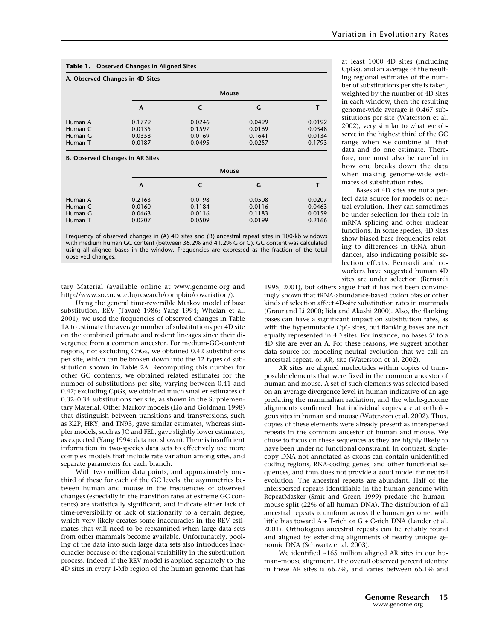| <b>Observed Changes in Aligned Sites</b><br>Table 1. |                                        |            |        |        |  |  |
|------------------------------------------------------|----------------------------------------|------------|--------|--------|--|--|
|                                                      | A. Observed Changes in 4D Sites        |            |        |        |  |  |
|                                                      |                                        | Mouse      |        |        |  |  |
|                                                      | A                                      | C          | G      | т      |  |  |
| Human A                                              | 0.1779                                 | 0.0246     | 0.0499 | 0.0192 |  |  |
| Human C                                              | 0.0135                                 | 0.1597     | 0.0169 | 0.0348 |  |  |
| Human G                                              | 0.0358                                 | 0.0169     | 0.1641 | 0.0134 |  |  |
| Human T                                              | 0.0187                                 | 0.0495     | 0.0257 | 0.1793 |  |  |
|                                                      | <b>B. Observed Changes in AR Sites</b> |            |        |        |  |  |
|                                                      | <b>Mouse</b>                           |            |        |        |  |  |
|                                                      | A                                      | $\epsilon$ | G      | т      |  |  |
| Human A                                              | 0.2163                                 | 0.0198     | 0.0508 | 0.0207 |  |  |
| Human C                                              | 0.0160                                 | 0.1184     | 0.0116 | 0.0463 |  |  |
| Human G                                              | 0.0463                                 | 0.0116     | 0.1183 | 0.0159 |  |  |
| Human T                                              | 0.0207                                 | 0.0509     | 0.0199 | 0.2166 |  |  |

Frequency of observed changes in (A) 4D sites and (B) ancestral repeat sites in 100-kb windows with medium human GC content (between 36.2% and 41.2% G or C). GC content was calculated using all aligned bases in the window. Frequencies are expressed as the fraction of the total observed changes.

tary Material (available online at www.genome.org and http://www.soe.ucsc.edu/research/compbio/covariation/).

Using the general time-reversible Markov model of base substitution, REV (Tavaré 1986; Yang 1994; Whelan et al. 2001), we used the frequencies of observed changes in Table 1A to estimate the average number of substitutions per 4D site on the combined primate and rodent lineages since their divergence from a common ancestor. For medium-GC-content regions, not excluding CpGs, we obtained 0.42 substitutions per site, which can be broken down into the 12 types of substitution shown in Table 2A. Recomputing this number for other GC contents, we obtained related estimates for the number of substitutions per site, varying between 0.41 and 0.47; excluding CpGs, we obtained much smaller estimates of 0.32–0.34 substitutions per site, as shown in the Supplementary Material. Other Markov models (Lio and Goldman 1998) that distinguish between transitions and transversions, such as K2P, HKY, and TN93, gave similar estimates, whereas simpler models, such as JC and FEL, gave slightly lower estimates, as expected (Yang 1994; data not shown). There is insufficient information in two-species data sets to effectively use more complex models that include rate variation among sites, and separate parameters for each branch.

With two million data points, and approximately onethird of these for each of the GC levels, the asymmetries between human and mouse in the frequencies of observed changes (especially in the transition rates at extreme GC contents) are statistically significant, and indicate either lack of time-reversibility or lack of stationarity to a certain degree, which very likely creates some inaccuracies in the REV estimates that will need to be reexamined when large data sets from other mammals become available. Unfortunately, pooling of the data into such large data sets also introduces inaccuracies because of the regional variability in the substitution process. Indeed, if the REV model is applied separately to the 4D sites in every 1-Mb region of the human genome that has at least 1000 4D sites (including CpGs), and an average of the resulting regional estimates of the number of substitutions per site is taken, weighted by the number of 4D sites in each window, then the resulting genome-wide average is 0.467 substitutions per site (Waterston et al. 2002), very similar to what we observe in the highest third of the GC range when we combine all that data and do one estimate. Therefore, one must also be careful in how one breaks down the data when making genome-wide estimates of substitution rates.

Bases at 4D sites are not a perfect data source for models of neutral evolution. They can sometimes be under selection for their role in mRNA splicing and other nuclear functions. In some species, 4D sites show biased base frequencies relating to differences in tRNA abundances, also indicating possible selection effects. Bernardi and coworkers have suggested human 4D sites are under selection (Bernardi

1995, 2001), but others argue that it has not been convincingly shown that tRNA-abundance-based codon bias or other kinds of selection affect 4D-site substitution rates in mammals (Graur and Li 2000; Iida and Akashi 2000). Also, the flanking bases can have a significant impact on substitution rates, as with the hypermutable CpG sites, but flanking bases are not equally represented in 4D sites. For instance, no bases 5' to a 4D site are ever an A. For these reasons, we suggest another data source for modeling neutral evolution that we call an ancestral repeat, or AR, site (Waterston et al. 2002).

AR sites are aligned nucleotides within copies of transposable elements that were fixed in the common ancestor of human and mouse. A set of such elements was selected based on an average divergence level in human indicative of an age predating the mammalian radiation, and the whole-genome alignments confirmed that individual copies are at orthologous sites in human and mouse (Waterston et al. 2002). Thus, copies of these elements were already present as interspersed repeats in the common ancestor of human and mouse. We chose to focus on these sequences as they are highly likely to have been under no functional constraint. In contrast, singlecopy DNA not annotated as exons can contain unidentified coding regions, RNA-coding genes, and other functional sequences, and thus does not provide a good model for neutral evolution. The ancestral repeats are abundant: Half of the interspersed repeats identifiable in the human genome with RepeatMasker (Smit and Green 1999) predate the human– mouse split (22% of all human DNA). The distribution of all ancestral repeats is uniform across the human genome, with little bias toward A + T-rich or G + C-rich DNA (Lander et al. 2001). Orthologous ancestral repeats can be reliably found and aligned by extending alignments of nearby unique genomic DNA (Schwartz et al. 2003).

We identified ∼165 million aligned AR sites in our human–mouse alignment. The overall observed percent identity in these AR sites is 66.7%, and varies between 66.1% and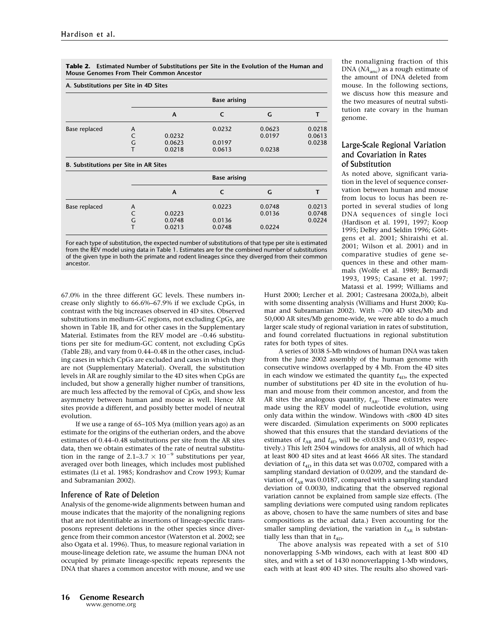Table 2. Estimated Number of Substitutions per Site in the Evolution of the Human and Mouse Genomes From Their Common Ancestor

| A. Substitutions per Site in 4D Sites |   |                     |            |        |        |
|---------------------------------------|---|---------------------|------------|--------|--------|
|                                       |   | <b>Base arising</b> |            |        |        |
|                                       |   | A                   | C          | G      | т      |
| Base replaced                         | A |                     | 0.0232     | 0.0623 | 0.0218 |
|                                       | C | 0.0232              |            | 0.0197 | 0.0613 |
|                                       | G | 0.0623              | 0.0197     |        | 0.0238 |
|                                       | т | 0.0218              | 0.0613     | 0.0238 |        |
| B. Substitutions per Site in AR Sites |   |                     |            |        |        |
|                                       |   | <b>Base arising</b> |            |        |        |
|                                       |   | A                   | $\epsilon$ | G      |        |
| Base replaced                         | A |                     | 0.0223     | 0.0748 | 0.0213 |
|                                       | C | 0.0223              |            | 0.0136 | 0.0748 |
|                                       | Ġ | 0.0748              | 0.0136     |        | 0.0224 |
|                                       |   | 0.0213              | 0.0748     | 0.0224 |        |

For each type of substitution, the expected number of substitutions of that type per site is estimated from the REV model using data in Table 1. Estimates are for the combined number of substitutions of the given type in both the primate and rodent lineages since they diverged from their common ancestor.

67.0% in the three different GC levels. These numbers increase only slightly to 66.6%–67.9% if we exclude CpGs, in contrast with the big increases observed in 4D sites. Observed substitutions in medium-GC regions, not excluding CpGs, are shown in Table 1B, and for other cases in the Supplementary Material. Estimates from the REV model are ∼0.46 substitutions per site for medium-GC content, not excluding CpGs (Table 2B), and vary from 0.44–0.48 in the other cases, including cases in which CpGs are excluded and cases in which they are not (Supplementary Material). Overall, the substitution levels in AR are roughly similar to the 4D sites when CpGs are included, but show a generally higher number of transitions, are much less affected by the removal of CpGs, and show less asymmetry between human and mouse as well. Hence AR sites provide a different, and possibly better model of neutral evolution.

If we use a range of 65–105 Mya (million years ago) as an estimate for the origins of the eutherian orders, and the above estimates of 0.44–0.48 substitutions per site from the AR sites data, then we obtain estimates of the rate of neutral substitution in the range of 2.1–3.7  $\times$  10<sup>-9</sup> substitutions per year, averaged over both lineages, which includes most published estimates (Li et al. 1985; Kondrashov and Crow 1993; Kumar and Subramanian 2002).

#### Inference of Rate of Deletion

Analysis of the genome-wide alignments between human and mouse indicates that the majority of the nonaligning regions that are not identifiable as insertions of lineage-specific transposons represent deletions in the other species since divergence from their common ancestor (Waterston et al. 2002; see also Ogata et al. 1996). Thus, to measure regional variation in mouse-lineage deletion rate, we assume the human DNA not occupied by primate lineage-specific repeats represents the DNA that shares a common ancestor with mouse, and we use the nonaligning fraction of this DNA  $(NA<sub>anc</sub>)$  as a rough estimate of the amount of DNA deleted from mouse. In the following sections, we discuss how this measure and the two measures of neutral substitution rate covary in the human genome.

## Large-Scale Regional Variation and Covariation in Rates of Substitution

As noted above, significant variation in the level of sequence conservation between human and mouse from locus to locus has been reported in several studies of long DNA sequences of single loci (Hardison et al. 1991, 1997; Koop 1995; DeBry and Seldin 1996; Göttgens et al. 2001; Shiraishi et al. 2001; Wilson et al. 2001) and in comparative studies of gene sequences in these and other mammals (Wolfe et al. 1989; Bernardi 1993, 1995; Casane et al. 1997; Matassi et al. 1999; Williams and

Hurst 2000; Lercher et al. 2001; Castresana 2002a,b), albeit with some dissenting analysis (Williams and Hurst 2000; Kumar and Subramanian 2002). With ∼700 4D sites/Mb and 50,000 AR sites/Mb genome-wide, we were able to do a much larger scale study of regional variation in rates of substitution, and found correlated fluctuations in regional substitution rates for both types of sites.

A series of 3038 5-Mb windows of human DNA was taken from the June 2002 assembly of the human genome with consecutive windows overlapped by 4 Mb. From the 4D sites in each window we estimated the quantity  $t_{4D}$ , the expected number of substitutions per 4D site in the evolution of human and mouse from their common ancestor, and from the AR sites the analogous quantity,  $t_{AR}$ . These estimates were made using the REV model of nucleotide evolution, using only data within the window. Windows with <800 4D sites were discarded. (Simulation experiments on 5000 replicates showed that this ensures that the standard deviations of the estimates of  $t_{AR}$  and  $t_{4D}$  will be <0.0338 and 0.0319, respectively.) This left 2504 windows for analysis, all of which had at least 800 4D sites and at least 4666 AR sites. The standard deviation of  $t_{4D}$  in this data set was 0.0702, compared with a sampling standard deviation of 0.0209, and the standard deviation of  $t_{AR}$  was 0.0187, compared with a sampling standard deviation of 0.0030, indicating that the observed regional variation cannot be explained from sample size effects. (The sampling deviations were computed using random replicates as above, chosen to have the same numbers of sites and base compositions as the actual data.) Even accounting for the smaller sampling deviation, the variation in  $t_{AR}$  is substantially less than that in  $t_{4D}$ .

The above analysis was repeated with a set of 510 nonoverlapping 5-Mb windows, each with at least 800 4D sites, and with a set of 1430 nonoverlapping 1-Mb windows, each with at least 400 4D sites. The results also showed vari-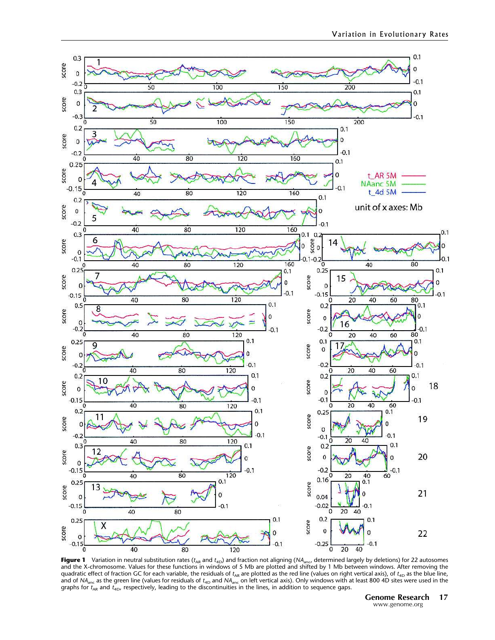

**Figure 1** Variation in neutral substitution rates (t<sub>ar</sub> and t<sub>4D</sub>) and fraction not aligning (NA<sub>anc</sub>, determined largely by deletions) for 22 autosomes<br>and the X-chromosome. Values for these functions in windows of 5 Mb quadratic effect of fraction GC for each variable, the residuals of  $t_{\sf AR}$  are plotted as the red line (values on right vertical axis), of  $t_{\sf 4D}$  as the blue line, and of NA $_{\rm anc}$  as the green line (values for residuals of  $t_{\rm 4D}$  and NA $_{\rm anc}$  on left vertical axis). Only windows with at least 800 4D sites were used in the graphs for  $t_{\sf AR}$  and  $t_{\sf 4D}$ , respectively, leading to the discontinuities in the lines, in addition to sequence gaps.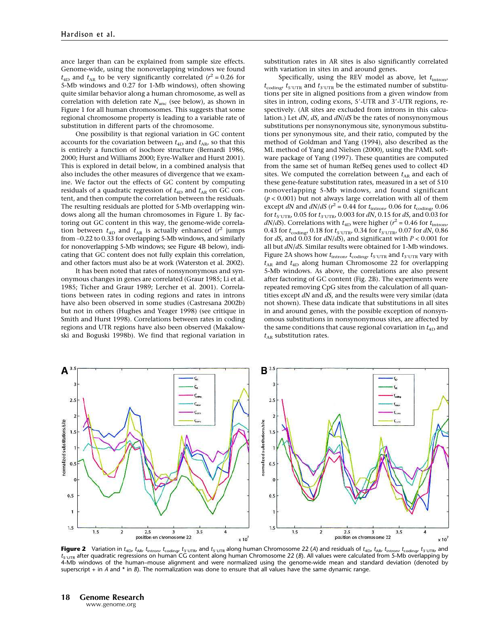ance larger than can be explained from sample size effects. Genome-wide, using the nonoverlapping windows we found  $t_{4D}$  and  $t_{AR}$  to be very significantly correlated ( $r^2 = 0.26$  for 5-Mb windows and 0.27 for 1-Mb windows), often showing quite similar behavior along a human chromosome, as well as correlation with deletion rate  $N_{\text{anc}}$  (see below), as shown in Figure 1 for all human chromosomes. This suggests that some regional chromosome property is leading to a variable rate of substitution in different parts of the chromosome.

One possibility is that regional variation in GC content accounts for the covariation between  $t_{4D}$  and  $t_{AR}$ , so that this is entirely a function of isochore structure (Bernardi 1986, 2000; Hurst and Williams 2000; Eyre-Walker and Hurst 2001). This is explored in detail below, in a combined analysis that also includes the other measures of divergence that we examine. We factor out the effects of GC content by computing residuals of a quadratic regression of  $t_{4D}$  and  $t_{AR}$  on GC content, and then compute the correlation between the residuals. The resulting residuals are plotted for 5-Mb overlapping windows along all the human chromosomes in Figure 1. By factoring out GC content in this way, the genome-wide correlation between  $t_{\text{4D}}$  and  $t_{\text{AR}}$  is actually enhanced ( $r^2$  jumps from ∼0.22 to 0.33 for overlapping 5-Mb windows, and similarly for nonoverlapping 5-Mb windows; see Figure 4B below), indicating that GC content does not fully explain this correlation, and other factors must also be at work (Waterston et al. 2002).

It has been noted that rates of nonsynonymous and synonymous changes in genes are correlated (Graur 1985; Li et al. 1985; Ticher and Graur 1989; Lercher et al. 2001). Correlations between rates in coding regions and rates in introns have also been observed in some studies (Castresana 2002b) but not in others (Hughes and Yeager 1998) (see critique in Smith and Hurst 1998). Correlations between rates in coding regions and UTR regions have also been observed (Makalowski and Boguski 1998b). We find that regional variation in substitution rates in AR sites is also significantly correlated with variation in sites in and around genes.

Specifically, using the REV model as above, let  $t_{\text{intron}}$ ,  $t_{\text{coding}}$ ,  $t_{\text{S'UTR}}$  and  $t_{\text{3'UTR}}$  be the estimated number of substitutions per site in aligned positions from a given window from sites in intron, coding exons, 5-UTR and 3-UTR regions, respectively. (AR sites are excluded from introns in this calculation.) Let  $dN$ ,  $dS$ , and  $dN/dS$  be the rates of nonsynonymous substitutions per nonsynonymous site, synonymous substitutions per synonymous site, and their ratio, computed by the method of Goldman and Yang (1994), also described as the ML method of Yang and Nielsen (2000), using the PAML software package of Yang (1997). These quantities are computed from the same set of human RefSeq genes used to collect 4D sites. We computed the correlation between  $t_{AR}$  and each of these gene-feature substitution rates, measured in a set of 510 nonoverlapping 5-Mb windows, and found significant  $(p < 0.001)$  but not always large correlation with all of them except dN and  $dN/dS$  ( $r^2 = 0.44$  for  $t_{\text{intron}}$ , 0.06 for  $t_{\text{coding}}$ , 0.06 for  $t_{5'UTR}$ , 0.05 for  $t_{3'UTR}$ , 0.003 for dN, 0.15 for dS, and 0.03 for *dN/dS*). Correlations with  $t_{4D}$  were higher ( $r^2 = 0.46$  for  $t_{\text{intron}}$ , 0.43 for  $t_{\text{coding}}$ , 0.18 for  $t_{5' \text{UTR}}$ , 0.34 for  $t_{3' \text{UTR}}$ , 0.07 for dN, 0.86 for  $dS$ , and  $0.03$  for  $dN/dS$ ), and significant with  $P < 0.001$  for all but dN/dS. Similar results were obtained for 1-Mb windows. Figure 2A shows how  $t_{\rm intron}$  ,  $t_{\rm coding}$  ,  $t_{\rm 5'UTR}$  and  $t_{\rm 3'UTR}$  vary with  $t_{AR}$  and  $t_{4D}$  along human Chromosome 22 for overlapping 5-Mb windows. As above, the correlations are also present after factoring of GC content (Fig. 2B). The experiments were repeated removing CpG sites from the calculation of all quantities except  $dN$  and  $dS$ , and the results were very similar (data not shown). These data indicate that substitutions in all sites in and around genes, with the possible exception of nonsynomous substitutions in nonsynonymous sites, are affected by the same conditions that cause regional covariation in  $t_{4D}$  and  $t_{AR}$  substitution rates.



<code>Figure 2</code>  $\,$  <code>Variation</code> in  $t_{\sf aD}$ ,  $t_{\sf aN}$ ,  $t_{\sf inton}$ ,  $t_{\sf coding}$ ,  $t_{\sf s'UTR}$ , and  $t_{\sf s'UTR}$  and the sloper pluman Chromosome 22 (A) and residuals of  $t_{\sf aD}$ ,  $t_{\sf aD}$ ,  $t_{\sf arot}$   $t_{\sf inton}$ ,  $t_{\sf coding}$ ,  $t_{\sf s$  $t_{S' \cup \text{TR}}$  after quadratic regressions on human CG content along human Chromosome 22 (B). All values were calculated from 5-Mb overlapping by 4-Mb windows of the human–mouse alignment and were normalized using the genome-wide mean and standard deviation (denoted by superscript  $+$  in A and  $*$  in B). The normalization was done to ensure that all values have the same dynamic range.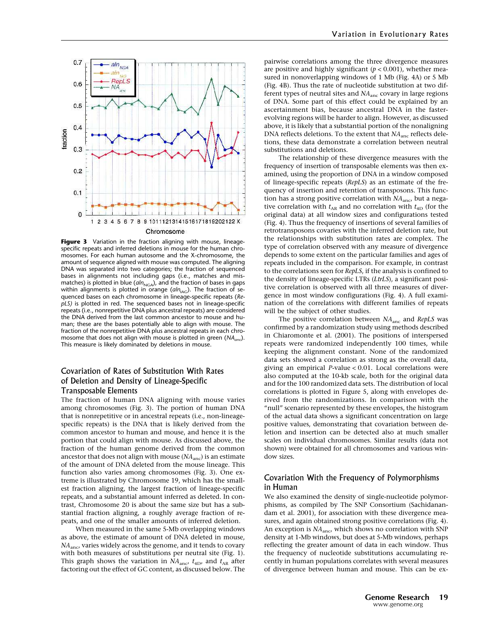

Figure 3 Variation in the fraction aligning with mouse, lineagespecific repeats and inferred deletions in mouse for the human chromosomes. For each human autosome and the X-chromosome, the amount of sequence aligned with mouse was computed. The aligning DNA was separated into two categories; the fraction of sequenced bases in alignments not including gaps (i.e., matches and mismatches) is plotted in blue ( $\alpha ln_{NGA}$ ), and the fraction of bases in gaps within alignments is plotted in orange ( $\alpha ln_{\text{IAG}}$ ). The fraction of sequenced bases on each chromosome in lineage-specific repeats (RepLS) is plotted in red. The sequenced bases not in lineage-specific repeats (i.e., nonrepetitive DNA plus ancestral repeats) are considered the DNA derived from the last common ancestor to mouse and human; these are the bases potentially able to align with mouse. The fraction of the nonrepetitive DNA plus ancestral repeats in each chromosome that does not align with mouse is plotted in green ( $NA<sub>anc</sub>$ ). This measure is likely dominated by deletions in mouse.

# Covariation of Rates of Substitution With Rates of Deletion and Density of Lineage-Specific Transposable Elements

The fraction of human DNA aligning with mouse varies among chromosomes (Fig. 3). The portion of human DNA that is nonrepetitive or in ancestral repeats (i.e., non-lineagespecific repeats) is the DNA that is likely derived from the common ancestor to human and mouse, and hence it is the portion that could align with mouse. As discussed above, the fraction of the human genome derived from the common ancestor that does not align with mouse  $(NA<sub>anc</sub>)$  is an estimate of the amount of DNA deleted from the mouse lineage. This function also varies among chromosomes (Fig. 3). One extreme is illustrated by Chromosome 19, which has the smallest fraction aligning, the largest fraction of lineage-specific repeats, and a substantial amount inferred as deleted. In contrast, Chromosome 20 is about the same size but has a substantial fraction aligning, a roughly average fraction of repeats, and one of the smaller amounts of inferred deletion.

When measured in the same 5-Mb overlapping windows as above, the estimate of amount of DNA deleted in mouse,  $NA<sub>anc</sub>$ , varies widely across the genome, and it tends to covary with both measures of substitutions per neutral site (Fig. 1). This graph shows the variation in  $NA<sub>anc</sub>$ ,  $t<sub>4D</sub>$ , and  $t<sub>AR</sub>$  after factoring out the effect of GC content, as discussed below. The pairwise correlations among the three divergence measures are positive and highly significant ( $p < 0.001$ ), whether measured in nonoverlapping windows of 1 Mb (Fig. 4A) or 5 Mb (Fig. 4B). Thus the rate of nucleotide substitution at two different types of neutral sites and  $NA<sub>anc</sub>$  covary in large regions of DNA. Some part of this effect could be explained by an ascertainment bias, because ancestral DNA in the fasterevolving regions will be harder to align. However, as discussed above, it is likely that a substantial portion of the nonaligning DNA reflects deletions. To the extent that  $NA<sub>anc</sub>$  reflects deletions, these data demonstrate a correlation between neutral substitutions and deletions.

The relationship of these divergence measures with the frequency of insertion of transposable elements was then examined, using the proportion of DNA in a window composed of lineage-specific repeats (RepLS) as an estimate of the frequency of insertion and retention of transposons. This function has a strong positive correlation with  $NA<sub>anc</sub>$ , but a negative correlation with  $t_{AR}$  and no correlation with  $t_{4D}$  (for the original data) at all window sizes and configurations tested (Fig. 4). Thus the frequency of insertions of several families of retrotransposons covaries with the inferred deletion rate, but the relationships with substitution rates are complex. The type of correlation observed with any measure of divergence depends to some extent on the particular families and ages of repeats included in the comparison. For example, in contrast to the correlations seen for RepLS, if the analysis is confined to the density of lineage-specific LTRs (LtrLS), a significant positive correlation is observed with all three measures of divergence in most window configurations (Fig. 4). A full examination of the correlations with different families of repeats will be the subject of other studies.

The positive correlation between  $NA<sub>anc</sub>$  and RepLS was confirmed by a randomization study using methods described in Chiaromonte et al. (2001). The positions of interspersed repeats were randomized independently 100 times, while keeping the alignment constant. None of the randomized data sets showed a correlation as strong as the overall data, giving an empirical P-value < 0.01. Local correlations were also computed at the 10-kb scale, both for the original data and for the 100 randomized data sets. The distribution of local correlations is plotted in Figure 5, along with envelopes derived from the randomizations. In comparison with the "null" scenario represented by these envelopes, the histogram of the actual data shows a significant concentration on large positive values, demonstrating that covariation between deletion and insertion can be detected also at much smaller scales on individual chromosomes. Similar results (data not shown) were obtained for all chromosomes and various window sizes.

## Covariation With the Frequency of Polymorphisms in Human

We also examined the density of single-nucleotide polymorphisms, as compiled by The SNP Consortium (Sachidanandam et al. 2001), for association with these divergence measures, and again obtained strong positive correlations (Fig. 4). An exception is  $NA<sub>anc</sub>$ , which shows no correlation with SNP density at 1-Mb windows, but does at 5-Mb windows, perhaps reflecting the greater amount of data in each window. Thus the frequency of nucleotide substitutions accumulating recently in human populations correlates with several measures of divergence between human and mouse. This can be ex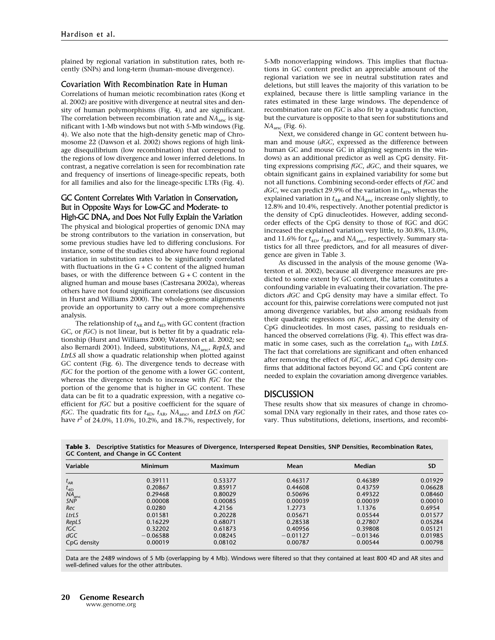plained by regional variation in substitution rates, both recently (SNPs) and long-term (human–mouse divergence).

#### Covariation With Recombination Rate in Human

Correlations of human meiotic recombination rates (Kong et al. 2002) are positive with divergence at neutral sites and density of human polymorphisms (Fig. 4), and are significant. The correlation between recombination rate and  $NA<sub>anc</sub>$  is significant with 1-Mb windows but not with 5-Mb windows (Fig. 4). We also note that the high-density genetic map of Chromosome 22 (Dawson et al. 2002) shows regions of high linkage disequilibrium (low recombination) that correspond to the regions of low divergence and lower inferred deletions. In contrast, a negative correlation is seen for recombination rate and frequency of insertions of lineage-specific repeats, both for all families and also for the lineage-specific LTRs (Fig. 4).

# GC Content Correlates With Variation in Conservation, But in Opposite Ways for Low-GC and Moderate- to High-GC DNA, and Does Not Fully Explain the Variation

The physical and biological properties of genomic DNA may be strong contributors to the variation in conservation, but some previous studies have led to differing conclusions. For instance, some of the studies cited above have found regional variation in substitution rates to be significantly correlated with fluctuations in the  $G + C$  content of the aligned human bases, or with the difference between  $G + C$  content in the aligned human and mouse bases (Castresana 2002a), whereas others have not found significant correlations (see discussion in Hurst and Williams 2000). The whole-genome alignments provide an opportunity to carry out a more comprehensive analysis.

The relationship of  $t_{AR}$  and  $t_{AD}$  with GC content (fraction GC, or fGC) is not linear, but is better fit by a quadratic relationship (Hurst and Williams 2000; Waterston et al. 2002; see also Bernardi 2001). Indeed, substitutions,  $NA<sub>anc</sub>$ , RepLS, and LtrLS all show a quadratic relationship when plotted against GC content (Fig. 6). The divergence tends to decrease with fGC for the portion of the genome with a lower GC content, whereas the divergence tends to increase with fGC for the portion of the genome that is higher in GC content. These data can be fit to a quadratic expression, with a negative coefficient for fGC but a positive coefficient for the square of fGC. The quadratic fits for  $t_{4D}$ ,  $t_{AR}$ ,  $NA_{anc}$ , and LtrLS on fGC have  $r^2$  of 24.0%, 11.0%, 10.2%, and 18.7%, respectively, for 5-Mb nonoverlapping windows. This implies that fluctuations in GC content predict an appreciable amount of the regional variation we see in neutral substitution rates and deletions, but still leaves the majority of this variation to be explained, because there is little sampling variance in the rates estimated in these large windows. The dependence of recombination rate on fGC is also fit by a quadratic function, but the curvature is opposite to that seen for substitutions and NAanc (Fig. 6).

Next, we considered change in GC content between human and mouse (dGC, expressed as the difference between human GC and mouse GC in aligning segments in the windows) as an additional predictor as well as CpG density. Fitting expressions comprising fGC, dGC, and their squares, we obtain significant gains in explained variability for some but not all functions. Combining second-order effects of fGC and  $dGC$ , we can predict 29.9% of the variation in  $t_{4D}$ , whereas the explained variation in  $t_{AR}$  and  $NA_{anc}$  increase only slightly, to 12.8% and 10.4%, respectively. Another potential predictor is the density of CpG dinucleotides. However, adding secondorder effects of the CpG density to those of fGC and dGC increased the explained variation very little, to 30.8%, 13.0%, and 11.6% for  $t_{\rm 4D}$ ,  $t_{\rm AR}$ , and  $NA_{\rm anc}$ , respectively. Summary statistics for all three predictors, and for all measures of divergence are given in Table 3.

As discussed in the analysis of the mouse genome (Waterston et al. 2002), because all divergence measures are predicted to some extent by GC content, the latter constitutes a confounding variable in evaluating their covariation. The predictors dGC and CpG density may have a similar effect. To account for this, pairwise correlations were computed not just among divergence variables, but also among residuals from their quadratic regressions on fGC, dGC, and the density of CpG dinucleotides. In most cases, passing to residuals enhanced the observed correlations (Fig. 4). This effect was dramatic in some cases, such as the correlation  $t_{4D}$  with LtrLS. The fact that correlations are significant and often enhanced after removing the effect of fGC, dGC, and CpG density confirms that additional factors beyond GC and CpG content are needed to explain the covariation among divergence variables.

## **DISCUSSION**

These results show that six measures of change in chromosomal DNA vary regionally in their rates, and those rates covary. Thus substitutions, deletions, insertions, and recombi-

| Table 3. Descriptive Statistics for Measures of Divergence, Interspersed Repeat Densities, SNP Densities, Recombination Rates, |  |  |
|--------------------------------------------------------------------------------------------------------------------------------|--|--|
| GC Content, and Change in GC Content                                                                                           |  |  |

| Variable                 | <b>Minimum</b> | Maximum | Mean       | <b>Median</b> | <b>SD</b> |
|--------------------------|----------------|---------|------------|---------------|-----------|
|                          |                |         |            |               |           |
| $t_{AR}$                 | 0.39111        | 0.53377 | 0.46317    | 0.46389       | 0.01929   |
| $t_{4D}$                 | 0.20867        | 0.85917 | 0.44608    | 0.43759       | 0.06628   |
| NA <sub>anc</sub><br>SNP | 0.29468        | 0.80029 | 0.50696    | 0.49322       | 0.08460   |
|                          | 0.00008        | 0.00085 | 0.00039    | 0.00039       | 0.00010   |
| Rec                      | 0.0280         | 4.2156  | 1.2773     | 1.1376        | 0.6954    |
| LtrLS                    | 0.01581        | 0.20228 | 0.05671    | 0.05544       | 0.01577   |
| RepLS                    | 0.16229        | 0.68071 | 0.28538    | 0.27807       | 0.05284   |
| fGC                      | 0.32202        | 0.61873 | 0.40956    | 0.39808       | 0.05121   |
| dGC                      | $-0.06588$     | 0.08245 | $-0.01127$ | $-0.01346$    | 0.01985   |
| CpG density              | 0.00019        | 0.08102 | 0.00787    | 0.00544       | 0.00798   |

Data are the 2489 windows of 5 Mb (overlapping by 4 Mb). Windows were filtered so that they contained at least 800 4D and AR sites and well-defined values for the other attributes.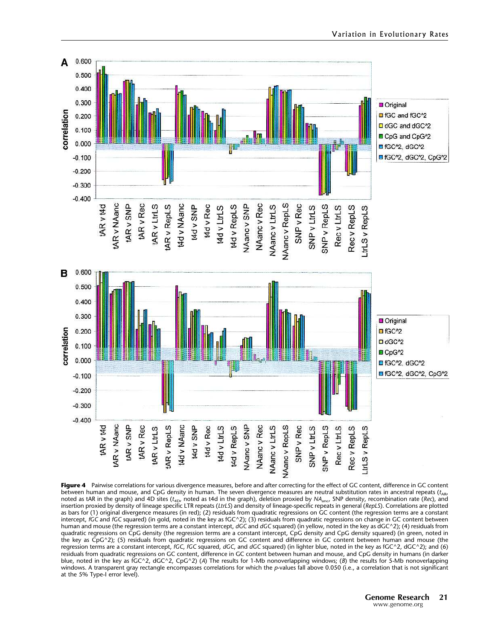

Figure 4 Pairwise correlations for various divergence measures, before and after correcting for the effect of GC content, difference in GC content between human and mouse, and CpG density in human. The seven divergence measures are neutral substitution rates in ancestral repeats ( $t_{AR}$ , noted as tAR in the graph) and 4D sites (t<sub>4D</sub>, noted as t4d in the graph), deletion proxied by NA<sub>anc</sub>, SNP density, recombination rate (*Rec*), and<br>insertion proxied by density of lineage specific LTR repeats (*LtrLS*) a as bars for (1) original divergence measures (in red); (2) residuals from quadratic regressions on GC content (the regression terms are a constant intercept, fGC and fGC squared) (in gold, noted in the key as fGC^2); (3) residuals from quadratic regressions on change in GC content between human and mouse (the regression terms are a constant intercept, dGC and dGC squared) (in yellow, noted in the key as dGC^2); (4) residuals from quadratic regressions on CpG density (the regression terms are a constant intercept, CpG density and CpG density squared) (in green, noted in the key as CpG^2); (5) residuals from quadratic regressions on GC content and difference in GC content between human and mouse (the regression terms are a constant intercept, fGC, fGC squared, dGC, and dGC squared) (in lighter blue, noted in the key as fGC^2, dGC^2); and (6) residuals from quadratic regressions on GC content, difference in GC content between human and mouse, and CpG density in humans (in darker blue, noted in the key as fGC^2, dGC^2, CpG^2) (A) The results for 1-Mb nonoverlapping windows; (B) the results for 5-Mb nonoverlapping windows. A transparent gray rectangle encompasses correlations for which the p-values fall above 0.050 (i.e., a correlation that is not significant at the 5% Type-I error level).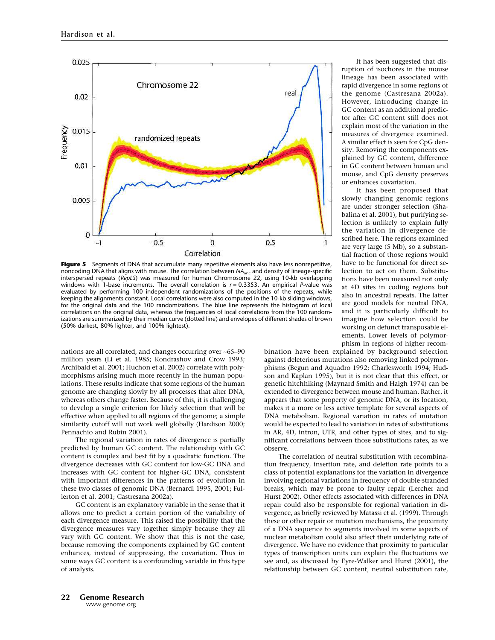

Figure 5 Segments of DNA that accumulate many repetitive elements also have less nonrepetitive, noncoding DNA that aligns with mouse. The correlation between  $NA<sub>anc</sub>$  and density of lineage-specific interspersed repeats (RepLS) was measured for human Chromosome 22, using 10-kb overlapping windows with 1-base increments. The overall correlation is  $r = 0.3353$ . An empirical P-value was evaluated by performing 100 independent randomizations of the positions of the repeats, while keeping the alignments constant. Local correlations were also computed in the 10-kb sliding windows, for the original data and the 100 randomizations. The blue line represents the histogram of local correlations on the original data, whereas the frequencies of local correlations from the 100 randomizations are summarized by their median curve (dotted line) and envelopes of different shades of brown (50% darkest, 80% lighter, and 100% lightest).

nations are all correlated, and changes occurring over ∼65–90 million years (Li et al. 1985; Kondrashov and Crow 1993; Archibald et al. 2001; Huchon et al. 2002) correlate with polymorphisms arising much more recently in the human populations. These results indicate that some regions of the human genome are changing slowly by all processes that alter DNA, whereas others change faster. Because of this, it is challenging to develop a single criterion for likely selection that will be effective when applied to all regions of the genome; a simple similarity cutoff will not work well globally (Hardison 2000; Pennachio and Rubin 2001).

The regional variation in rates of divergence is partially predicted by human GC content. The relationship with GC content is complex and best fit by a quadratic function. The divergence decreases with GC content for low-GC DNA and increases with GC content for higher-GC DNA, consistent with important differences in the patterns of evolution in these two classes of genomic DNA (Bernardi 1995, 2001; Fullerton et al. 2001; Castresana 2002a).

GC content is an explanatory variable in the sense that it allows one to predict a certain portion of the variability of each divergence measure. This raised the possibility that the divergence measures vary together simply because they all vary with GC content. We show that this is not the case, because removing the components explained by GC content enhances, instead of suppressing, the covariation. Thus in some ways GC content is a confounding variable in this type of analysis.

It has been suggested that disruption of isochores in the mouse lineage has been associated with rapid divergence in some regions of the genome (Castresana 2002a). However, introducing change in GC content as an additional predictor after GC content still does not explain most of the variation in the measures of divergence examined. A similar effect is seen for CpG density. Removing the components explained by GC content, difference in GC content between human and mouse, and CpG density preserves or enhances covariation.

It has been proposed that slowly changing genomic regions are under stronger selection (Shabalina et al. 2001), but purifying selection is unlikely to explain fully the variation in divergence described here. The regions examined are very large (5 Mb), so a substantial fraction of those regions would have to be functional for direct selection to act on them. Substitutions have been measured not only at 4D sites in coding regions but also in ancestral repeats. The latter are good models for neutral DNA, and it is particularly difficult to imagine how selection could be working on defunct transposable elements. Lower levels of polymorphism in regions of higher recom-

bination have been explained by background selection against deleterious mutations also removing linked polymorphisms (Begun and Aquadro 1992; Charlesworth 1994; Hudson and Kaplan 1995), but it is not clear that this effect, or genetic hitchhiking (Maynard Smith and Haigh 1974) can be extended to divergence between mouse and human. Rather, it appears that some property of genomic DNA, or its location, makes it a more or less active template for several aspects of DNA metabolism. Regional variation in rates of mutation would be expected to lead to variation in rates of substitutions in AR, 4D, intron, UTR, and other types of sites, and to significant correlations between those substitutions rates, as we observe.

The correlation of neutral substitution with recombination frequency, insertion rate, and deletion rate points to a class of potential explanations for the variation in divergence involving regional variations in frequency of double-stranded breaks, which may be prone to faulty repair (Lercher and Hurst 2002). Other effects associated with differences in DNA repair could also be responsible for regional variation in divergence, as briefly reviewed by Matassi et al. (1999). Through these or other repair or mutation mechanisms, the proximity of a DNA sequence to segments involved in some aspects of nuclear metabolism could also affect their underlying rate of divergence. We have no evidence that proximity to particular types of transcription units can explain the fluctuations we see and, as discussed by Eyre-Walker and Hurst (2001), the relationship between GC content, neutral substitution rate,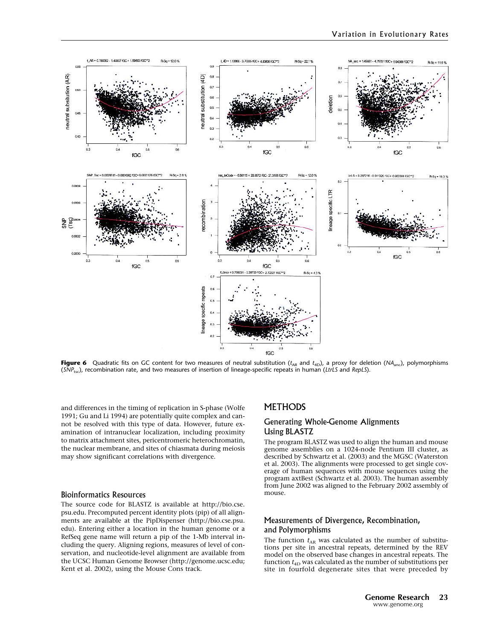

Figure 6 Quadratic fits on GC content for two measures of neutral substitution ( $t_{AR}$  and  $t_{4D}$ ), a proxy for deletion (NA<sub>anc</sub>), polymorphisms  $(SNP_{\text{txc}})$ , recombination rate, and two measures of insertion of lineage-specific repeats in human (LtrLS and RepLS).

and differences in the timing of replication in S-phase (Wolfe 1991; Gu and Li 1994) are potentially quite complex and cannot be resolved with this type of data. However, future examination of intranuclear localization, including proximity to matrix attachment sites, pericentromeric heterochromatin, the nuclear membrane, and sites of chiasmata during meiosis may show significant correlations with divergence.

#### Bioinformatics Resources

The source code for BLASTZ is available at http://bio.cse. psu.edu. Precomputed percent identity plots (pip) of all alignments are available at the PipDispenser (http://bio.cse.psu. edu). Entering either a location in the human genome or a RefSeq gene name will return a pip of the 1-Mb interval including the query. Aligning regions, measures of level of conservation, and nucleotide-level alignment are available from the UCSC Human Genome Browser (http://genome.ucsc.edu; Kent et al. 2002), using the Mouse Cons track.

## **METHODS**

# Generating Whole-Genome Alignments Using BLASTZ

The program BLASTZ was used to align the human and mouse genome assemblies on a 1024-node Pentium III cluster, as described by Schwartz et al. (2003) and the MGSC (Waterston et al. 2003). The alignments were processed to get single coverage of human sequences with mouse sequences using the program axtBest (Schwartz et al. 2003). The human assembly from June 2002 was aligned to the February 2002 assembly of mouse.

# Measurements of Divergence, Recombination, and Polymorphisms

The function  $t_{AR}$  was calculated as the number of substitutions per site in ancestral repeats, determined by the REV model on the observed base changes in ancestral repeats. The function  $t_{4D}$  was calculated as the number of substitutions per site in fourfold degenerate sites that were preceded by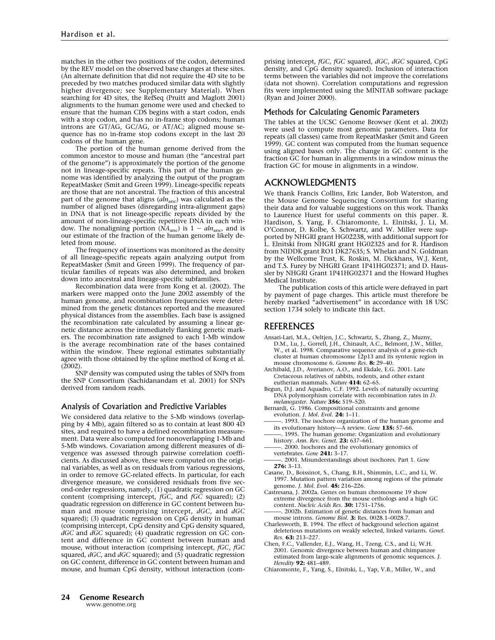matches in the other two positions of the codon, determined by the REV model on the observed base changes at these sites. (An alternate definition that did not require the 4D site to be preceded by two matches produced similar data with slightly higher divergence; see Supplementary Material). When searching for 4D sites, the RefSeq (Pruitt and Maglott 2001) alignments to the human genome were used and checked to ensure that the human CDS begins with a start codon, ends with a stop codon, and has no in-frame stop codons; human introns are GT/AG, GC/AG, or AT/AC; aligned mouse sequence has no in-frame stop codons except in the last 20 codons of the human gene.

The portion of the human genome derived from the common ancestor to mouse and human (the "ancestral part of the genome") is approximately the portion of the genome not in lineage-specific repeats. This part of the human genome was identified by analyzing the output of the program RepeatMasker (Smit and Green 1999). Lineage-specific repeats are those that are not ancestral. The fraction of this ancestral part of the genome that aligns  $(aln<sub>anc</sub>)$  was calculated as the number of aligned bases (disregarding intra-alignment gaps) in DNA that is not lineage-specific repeats divided by the amount of non-lineage-specific repetitive DNA in each window. The nonaligning portion ( $\hat{N}A_{\text{anc}}$ ) is  $1 - \frac{aln_{\text{anc}}}{l}$  and is our estimate of the fraction of the human genome likely deleted from mouse.

The frequency of insertions was monitored as the density of all lineage-specific repeats again analyzing output from RepeatMasker (Smit and Green 1999). The frequency of particular families of repeats was also determined, and broken down into ancestral and lineage-specific subfamilies.

Recombination data were from Kong et al. (2002). The markers were mapped onto the June 2002 assembly of the human genome, and recombination frequencies were determined from the genetic distances reported and the measured physical distances from the assemblies. Each base is assigned the recombination rate calculated by assuming a linear genetic distance across the immediately flanking genetic markers. The recombination rate assigned to each 1-Mb window is the average recombination rate of the bases contained within the window. These regional estimates substantially agree with those obtained by the spline method of Kong et al. (2002).

SNP density was computed using the tables of SNPs from the SNP Consortium (Sachidanandam et al. 2001) for SNPs derived from random reads.

#### Analysis of Covariation and Predictive Variables

We considered data relative to the 5-Mb windows (overlapping by 4 Mb), again filtered so as to contain at least 800 4D sites, and required to have a defined recombination measurement. Data were also computed for nonoverlapping 1-Mb and 5-Mb windows. Covariation among different measures of divergence was assessed through pairwise correlation coefficients. As discussed above, these were computed on the original variables, as well as on residuals from various regressions, in order to remove GC-related effects. In particular, for each divergence measure, we considered residuals from five second-order regressions, namely, (1) quadratic regression on GC content (comprising intercept,  $f\overline{GC}$ , and  $f\overline{GC}$  squared); (2) quadratic regression on difference in GC content between human and mouse (comprising intercept, dGC, and dGC squared); (3) quadratic regression on CpG density in human (comprising intercept, CpG density and CpG density squared,  $dGC$  and  $dGC$  squared); (4) quadratic regression on  $GC$  content and difference in GC content between human and mouse, without interaction (comprising intercept, fGC, fGC squared,  $dGC$ , and  $dGC$  squared); and  $(5)$  quadratic regression on GC content, difference in GC content between human and mouse, and human CpG density, without interaction (comprising intercept, fGC, fGC squared, dGC, dGC squared, CpG density, and CpG density squared). Inclusion of interaction terms between the variables did not improve the correlations (data not shown). Correlation computations and regression fits were implemented using the MINITAB software package (Ryan and Joiner 2000).

#### Methods for Calculating Genomic Parameters

The tables at the UCSC Genome Browser (Kent et al. 2002) were used to compute most genomic parameters. Data for repeats (all classes) came from RepeatMasker (Smit and Green 1999). GC content was computed from the human sequence using aligned bases only. The change in GC content is the fraction GC for human in alignments in a window minus the fraction GC for mouse in alignments in a window.

## ACKNOWLEDGMENTS

We thank Francis Collins, Eric Lander, Bob Waterston, and the Mouse Genome Sequencing Consortium for sharing their data and for valuable suggestions on this work. Thanks to Laurence Hurst for useful comments on this paper. R. Hardison, S. Yang, F. Chiaromonte, L. Elnitski, J. Li, M. O'Connor, D. Kolbe, S. Schwartz, and W. Miller were supported by NHGRI grant HG02238, with additional support for L. Elnitski from NHGRI grant HG02325 and for R. Hardison from NIDDK grant RO1 DK27635; S. Whelan and N. Goldman by the Wellcome Trust, K. Roskin, M. Dickhans, W.J. Kent, and T.S. Furey by NHGRI Grant 1P41HG02371; and D. Haussler by NHGRI Grant 1P41HG02371 and the Howard Hughes Medical Institute.

The publication costs of this article were defrayed in part by payment of page charges. This article must therefore be hereby marked "advertisement" in accordance with 18 USC section 1734 solely to indicate this fact.

## REFERENCES

- Ansari-Lari, M.A., Oeltjen, J.C., Schwartz, S., Zhang, Z., Muzny, D.M., Lu, J., Gorrell, J.H., Chinault, A.C., Belmont, J.W., Miller, W., et al. 1998. Comparative sequence analysis of a gene-rich cluster at human chromosome 12p13 and its syntenic region in mouse chromosome 6. Genome Res. 8: 29-40.<br>Archibald, J.D., Averianov, A.O., and Ekdale, E.G. 2001. Late
- Cretaceous relatives of rabbits, rodents, and other extant eutherian mammals. Nature 414: 62-65.
- Begun, D.J. and Aquadro, C.F. 1992. Levels of naturally occurring DNA polymorphism correlate with recombination rates in D. melanogaster. Nature 356: 519–520.
- Bernardi, G. 1986. Compositional constraints and genome evolution. *J. Mol. Evol.* **24:** 1-11.
- . 1993. The isochore organization of the human genome and its evolutionary history-- A review. Gene 135: 57-66.
- . 1995. The human genome: Organization and evolutionary history. Ann. Rev. Genet. 23: 637–661.
- 2000. Isochores and the evolutionary genomics of vertebrates. Gene 241: 3-17.
- 2001. Misunderstandings about isochores. Part 1. Gene 276: 3–13.
- Casane, D., Boissinot, S., Chang, B.H., Shimmin, L.C., and Li, W. 1997. Mutation pattern variation among regions of the primate genome. *J. Mol. Evol.* 45: 216-226.
- Castresana, J. 2002a. Genes on human chromosome 19 show extreme divergence from the mouse orthologs and a high GC content. Nucleic Acids Res. 30: 1751–1756.
- . 2002b. Estimation of genetic distances from human and mouse introns. Genome Biol. 3: Res. 0028.1-0028.7.
- Charlesworth, B. 1994. The effect of background selection against deleterious mutations on weakly selected, linked variants. Genet. Res. 63: 213–227.
- Chen, F.C., Vallender, E.J., Wang, H., Tzeng, C.S., and Li, W.H. 2001. Genomic divergence between human and chimpanzee estimated from large-scale alignments of genomic sequences. J. Heredity **92:** 481-489.
- Chiaromonte, F., Yang, S., Elnitski, L., Yap, V.B., Miller, W., and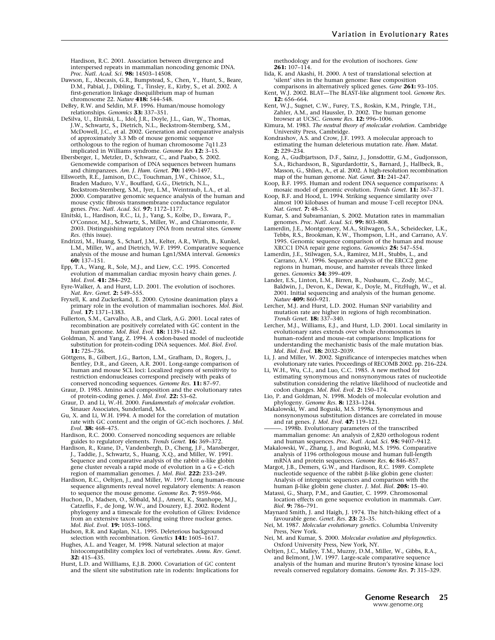Hardison, R.C. 2001. Association between divergence and interspersed repeats in mammalian noncoding genomic DNA. Proc. Natl. Acad. Sci. 98: 14503-14508.

- Dawson, E., Abecasis, G.R., Bumpstead, S., Chen, Y., Hunt, S., Beare, D.M., Pabial, J., Dibling, T., Tinsley, E., Kirby, S., et al. 2002. A first-generation linkage disequilibrium map of human chromosome 22. Nature 418: 544-548.
- DeBry, R.W. and Seldin, M.F. 1996. Human/mouse homology relationships. Genomics 33: 337–351.
- DeSilva, U., Elnitski, L., Idol, J.R., Doyle, J.L., Gan, W., Thomas, J.W., Schwartz, S., Dietrich, N.L., Beckstrom-Sternberg, S.M., McDowell, J.C., et al. 2002. Generation and comparative analysis of approximately 3.3 Mb of mouse genomic sequence orthologous to the region of human chromosome 7q11.23 implicated in Williams syndrome. Genome Res 12: 3–15.
- Ebersberger, I., Metzler, D., Schwarz, C., and Paabo, S. 2002. Genomewide comparison of DNA sequences between humans and chimpanzees. Am. J. Hum. Genet. 70: 1490-1497.
- Ellsworth, R.E., Jamison, D.C., Touchman, J.W., Chissoe, S.L., Braden Maduro, V.V., Bouffard, G.G., Dietrich, N.L., Beckstrom-Sternberg, S.M., Iyer, L.M., Weintraub, L.A., et al. 2000. Comparative genomic sequence analysis of the human and mouse cystic fibrosis transmembrane conductance regulator genes. Proc. Natl. Acad. Sci. 97: 1172-1177.
- Elnitski, L., Hardison, R.C., Li, J., Yang, S., Kolbe, D., Eswara, P., O'Connor, M.J., Schwartz, S., Miller, W., and Chiaromonte, F. 2003. Distinguishing regulatory DNA from neutral sites. Genome Res. (this issue).
- Endrizzi, M., Huang, S., Scharf, J.M., Kelter, A.R., Wirth, B., Kunkel, L.M., Miller, W., and Dietrich, W.F. 1999. Comparative sequence analysis of the mouse and human Lgn1/SMA interval. Genomics 60: 137–151.
- Epp, T.A., Wang, R., Sole, M.J., and Liew, C.C. 1995. Concerted evolution of mammalian cardiac myosin heavy chain genes. J. Mol. Evol. 41: 284–292.
- Eyre-Walker, A. and Hurst, L.D. 2001. The evolution of isochores. Nat. Rev. Genet. 2: 549–555.
- Fryxell, K. and Zuckerkand, E. 2000. Cytosine deanimation plays a primary role in the evolution of mammalian isochores. Mol. Biol. Evol. 17: 1371–1383.
- Fullerton, S.M., Carvalho, A.B., and Clark, A.G. 2001. Local rates of recombination are positively correlated with GC content in the human genome. Mol. Biol. Evol. **18:** 1139–1142.
- Goldman, N. and Yang, Z. 1994. A codon-based model of nucleotide substitution for protein-coding DNA sequences. Mol. Biol. Evol. 11: 725–736.
- Göttgens, B., Gilbert, J.G., Barton, L.M., Grafham, D., Rogers, J., Bentley, D.R., and Green, A.R. 2001. Long-range comparison of human and mouse SCL loci: Localized regions of sensitivity to restriction endonucleases correspond precisely with peaks of conserved noncoding sequences. Genome Res. 11: 87–97.
- Graur, D. 1985. Amino acid composition and the evolutionary rates of protein-coding genes. J. Mol. Evol. 22: 53-62.
- Graur, D. and Li, W.-H. 2000. Fundamentals of molecular evolution. Sinauer Associates, Sunderland, MA.
- Gu, X. and Li, W.H. 1994. A model for the correlation of mutation rate with GC content and the origin of GC-rich isochores. J. Mol. Evol. 38: 468-475.
- Hardison, R.C. 2000. Conserved noncoding sequences are reliable guides to regulatory elements. Trends Genet. 16: 369-372.
- Hardison, R., Krane, D., Vandenbergh, D., Cheng, J.F., Mansberger, J., Taddie, J., Schwartz, S., Huang, X.Q., and Miller, W. 1991. Sequence and comparative analysis of the rabbit  $\alpha$ -like globin gene cluster reveals a rapid mode of evolution in a  $G + C$ -rich region of mammalian genomes. J. Mol. Biol. 222: 233–249.
- Hardison, R.C., Oeltjen, J., and Miller, W. 1997. Long human–mouse sequence alignments reveal novel regulatory elements: A reason to sequence the mouse genome. Genome Res. 7: 959-966.
- Huchon, D., Madsen, O., Sibbald, M.J., Ament, K., Stanhope, M.J., Catzeflis, F., de Jong, W.W., and Douzery, E.J. 2002. Rodent phylogeny and a timescale for the evolution of Glires: Evidence from an extensive taxon sampling using three nuclear genes. Mol. Biol. Evol. **19:** 1053-1065.
- Hudson, R.R. and Kaplan, N.L. 1995. Deleterious background selection with recombination. Genetics 141: 1605–1617.
- Hughes, A.L. and Yeager, M. 1998. Natural selection at major histocompatibility complex loci of vertebrates. Annu. Rev. Genet. 32: 415–435.
- Hurst, L.D. and Willliams, E.J.B. 2000. Covariation of GC content and the silent site substitution rate in rodents: Implications for

methodology and for the evolution of isochores. Gene 261: 107–114.

- Iida, K. and Akashi, H. 2000. A test of translational selection at 'silent' sites in the human genome: Base composition comparisons in alternatively spliced genes. Gene 261: 93-105.
- Kent, W.J. 2002. BLAT—The BLAST-like alignment tool. Genome Res. 12: 656–664.
- Kent, W.J., Sugnet, C.W., Furey, T.S., Roskin, K.M., Pringle, T.H., Zahler, A.M., and Haussler, D. 2002. The human genome browser at UCSC. Genome Res. 12: 996–1006.
- Kimura, M. 1983. The neutral theory of molecular evolution. Cambridge University Press, Cambridge.
- Kondrashov, A.S. and Crow, J.F. 1993. A molecular approach to estimating the human deleterious mutation rate. Hum. Mutat. 2: 229–234.
- Kong, A., Gudbjartsson, D.F., Sainz, J., Jonsdottir, G.M., Gudjonsson, S.A., Richardsson, B., Sigurdardottir, S., Barnard, J., Hallbeck, B., Masson, G., Shlien, A., et al. 2002. A high-resolution recombination map of the human genome. Nat. Genet. 31: 241-247.
- Koop, B.F. 1995. Human and rodent DNA sequence comparisons: A mosaic model of genomic evolution. Trends Genet. 11: 367-371.
- Koop, B.F. and Hood, L. 1994. Striking sequence similarity over almost 100 kilobases of human and mouse T-cell receptor DNA. Nat. Genet. 7: 48-53.
- Kumar, S. and Subramanian, S. 2002. Mutation rates in mammalian genomes. Proc. Natl. Acad. Sci. 99: 803–808.
- Lamerdin, J.E., Montgomery, M.A., Stilwagen, S.A., Scheidecker, L.K., Tebbs, R.S., Brookman, K.W., Thompson, L.H., and Carrano, A.V. 1995. Genomic sequence comparison of the human and mouse XRCC1 DNA repair gene regions. Genomics 25: 547–554.
- Lamerdin, J.E., Stilwagen, S.A., Ramirez, M.H., Stubbs, L., and Carrano, A.V. 1996. Sequence analysis of the ERCC2 gene regions in human, mouse, and hamster reveals three linked
- genes. Genomics 34: 399-409.<br>Lander, E.S., Linton, L.M., Birren, B., Nusbaum, C., Zody, M.C., Baldwin, J., Devon, K., Dewar, K., Doyle, M., FitzHugh, W., et al. 2001. Initial sequencing and analysis of the human genome. Nature **409:** 860-921.
- Lercher, M.J. and Hurst, L.D. 2002. Human SNP variability and mutation rate are higher in regions of high recombination.<br>*Trends Genet*. **18:** 337–340.
- Lercher, M.J., Williams, E.J., and Hurst, L.D. 2001. Local similarity in evolutionary rates extends over whole chromosomes in human–rodent and mouse–rat comparisons: Implications for understanding the mechanistic basis of the male mutation bias. Mol. Biol. Evol. 18: 2032–2039.
- Li, J. and Miller, W. 2002. Significance of interspecies matches when evolutionary rate varies. Proceedings of RECOMB 2002. pp. 216–224.
- Li, W.H., Wu, C.I., and Luo, C.C. 1985. A new method for estimating synonymous and nonsynonymous rates of nucleotide substitution considering the relative likelihood of nucleotide and codon changes. Mol. Biol. Evol. 2: 150–174.
- Lio, P. and Goldman, N. 1998. Models of molecular evolution and phylogeny. Genome Res. 8: 1233–1244.
- Makalowski, W. and Boguski, M.S. 1998a. Synonymous and nonsynonymous substitution distances are correlated in mouse and rat genes. J. Mol. Evol. 47: 119–121.

. 1998b. Evolutionary parameters of the transcribed mammalian genome: An analysis of 2,820 orthologous rodent

- and human sequences. *Proc. Natl. Acad. Sci.* **95:** 9407–9412.<br>Makalowski, W., Zhang, J., and Boguski, M.S. 1996. Comparative analysis of 1196 orthologous mouse and human full-length mRNA and protein sequences. Genome Res. 6: 846-857.
- Margot, J.B., Demers, G.W., and Hardison, R.C. 1989. Complete nucleotide sequence of the rabbit β-like globin gene cluster: Analysis of intergenic sequences and comparison with the human β-like globin gene cluster. J. Mol. Biol. 205: 15-40.
- Matassi, G., Sharp, P.M., and Gautier, C. 1999. Chromosomal location effects on gene sequence evolution in mammals. Curr. Biol. 9: 786–791.
- Maynard Smith, J. and Haigh, J. 1974. The hitch-hiking effect of a favourable gene. *Genet. Res.* **23:** 23–35.
- Nei, M. 1987. Molecular evolutionary genetics. Columbia University Press, New York.
- Nei, M. and Kumar, S. 2000. Molecular evolution and phylogenetics.
- Oxford University Press, New York, NY. Oeltjen, J.C., Malley, T.M., Muzny, D.M., Miller, W., Gibbs, R.A., and Belmont, J.W. 1997. Large-scale comparative sequence analysis of the human and murine Bruton's tyrosine kinase loci reveals conserved regulatory domains. Genome Res. 7: 315–329.